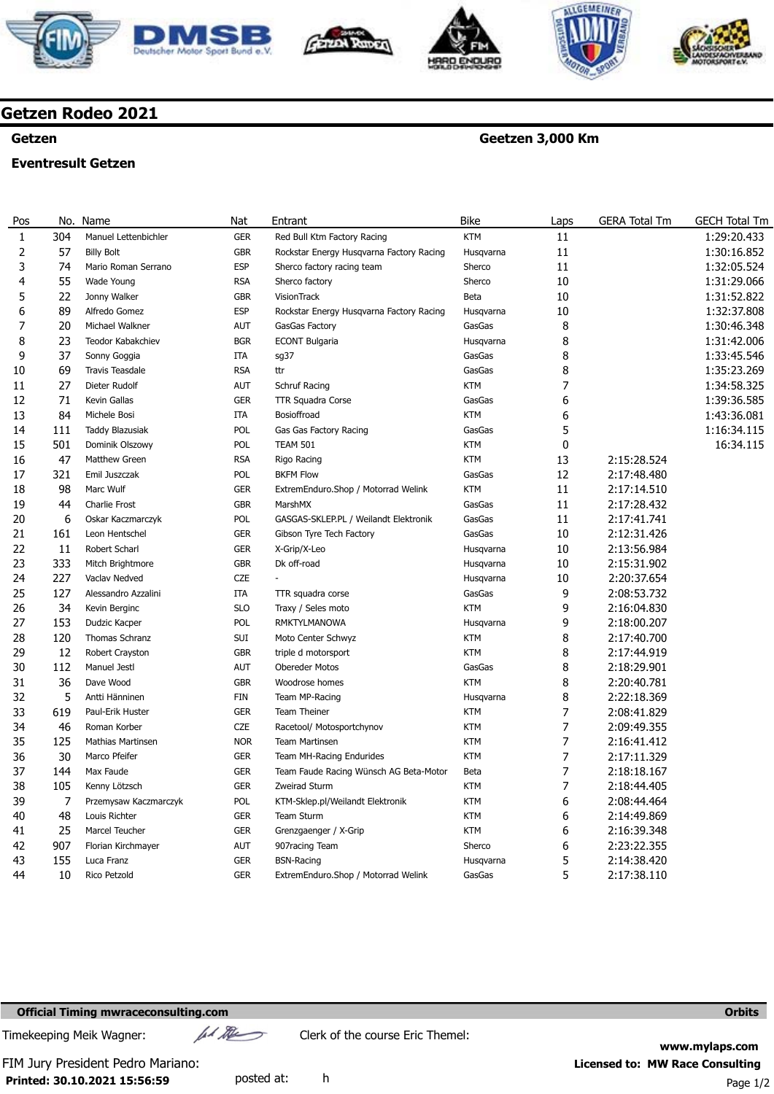







**Geetzen 3,000 Km** 



# **Getzen Rodeo 2021**

### **Getzen**

### **Eventresult Getzen**

#### Pos 1 2 3 4 5 6 7 8 9 10 11 12 13 14 15 16 17 18 19 20 21 22 23 24 25 26 27 28 29 30 31 32 33 34 35 36 37 38 39 40 41 42 43 44 No. 304 57 74 55  $22$ **89**  $20$ วว 37 69 27 71 84 111 501 47 321 98 44 6 161 11 333 227 127 34 153 120 12 112 36 5 619 46 125 30 144 105 7 48 25 907 155 10 Name Manuel Lettenbichler Billy Bolt Mario Roman Serrano Wade Young Jonny Walker Alfredo Gomez Michael Walkner Teodor Kabakchiev Sonny Goggia Travis Teasdale Dieter Rudolf Kevin Gallas Michele Bosi Taddy Blazusiak Dominik Olszowy Matthew Green Emil Juszczak Marc Wulf Charlie Frost Oskar Kaczmarczyk Leon Hentschel Robert Scharl Mitch Brightmore Vaclav Nedved Alessandro Azzalini Kevin Berginc Dudzic Kacper Thomas Schranz Robert Crayston Manuel Jestl Dave Wood Antti Hänninen Paul-Erik Huster Roman Korber Mathias Martinsen Marco Pfeifer Max Faude Kenny Lötzsch Przemysaw Kaczmarczyk Louis Richter Marcel Teucher Florian Kirchmayer Luca Franz Rico Petzold Nat GER GBR ESP RSA GBR ESP **AUT BGR** ITA **RSA** AUT GER ITA POL POL RSA POL GER GBR POL GER GER **GBR** C<sub>7F</sub> ITA SLO POL SUI GBR AUT GBR FIN GER CZE **NOR** GER GER GER POL GER GER AUT GER GER Entrant Red Bull Ktm Factory Racing Rockstar Energy Husqvarna Factory Racing Sherco factory racing team Sherco factory VisionTrack Rockstar Energy Husqvarna Factory Racing GasGas Factory ECONT Bulgaria sg37 ttr Schruf Racing TTR Squadra Corse Bosioffroad Gas Gas Factory Racing TEAM 501 Rigo Racing BKFM Flow ExtremEnduro.Shop / Motorrad Welink MarshMX GASGAS-SKLEP.PL / Weilandt Elektronik Gibson Tyre Tech Factory X-Grip/X-Leo Dk off-road - TTR squadra corse Traxy / Seles moto RMKTYLMANOWA Moto Center Schwyz triple d motorsport Obereder Motos Woodrose homes Team MP-Racing Team Theiner Racetool/ Motosportchynov Team Martinsen Team MH-Racing Endurides Team Faude Racing Wünsch AG Beta-Motor Zweirad Sturm KTM-Sklep.pl/Weilandt Elektronik Team Sturm Grenzgaenger / X-Grip 907racing Team BSN-Racing ExtremEnduro.Shop / Motorrad Welink Bike **KTM** Husqvarna Sherco Sherco Beta Husqvarna GasGas Husqvarna GasGas GasGas **KTM** GasGas **KTM** GasGas **KTM KTM** GasGas KTM GasGas GasGas GasGas Husqvarna Husqvarna Husqvarna GasGas KTM Husqvarna KTM KTM GasGas KTM Husqvarna **KTM KTM KTM KTM** Beta **KTM KTM KTM KTM** Sherco Husqvarna GasGas Laps 11 11 11 10 10 10 8 8 8 8 7 6 6 5 0 13 12 11 11 11 10 10 10 10 9 9 9 8 8 8 8 8 7 7 7 7 7 7 6 6 6 6 5 5 GERA Total Tm 2:15:28.524 2:17:48.480 2:17:14.510 2:17:28.432 2:17:41.741 2:12:31.426 2:13:56.984 2:15:31.902 2:20:37.654 2:08:53.732 2:16:04.830 2:18:00.207 2:17:40.700  $7.17.44.919$ 2:18:29.901 2:20:40.781 2:22:18.369 2:08:41.829 2:09:49.355 2:16:41.412 2:17:11.329 2:18:18.167 2:18:44.405 2:08:44.464 2:14:49.869 2:16:39.348 2:23:22.355 2:14:38.420 2:17:38.110 GECH Total Tm 1:29:20.433 1:30:16.852 1:32:05.524 1:31:29.066 1:31:52.822 1:32:37.808 1:30:46.348 1:31:42.006 1:33:45.546 1:35:23.269 1:34:58.325 1:39:36.585 1:43:36.081 1:16:34.115 16:34.115

## **Official Timing mwraceconsulting.com Orbits**

Timekeeping Meik Wagner:  $\mu$ //  $\mu$  Clerk of the course Eric Themel:

**Printed: 30.10.2021 15:56:59**  FIM Jury President Pedro Mariano: **Licensed to: MW Race Consulting** 

**www.mylaps.com**  posted at: h Page 1/2